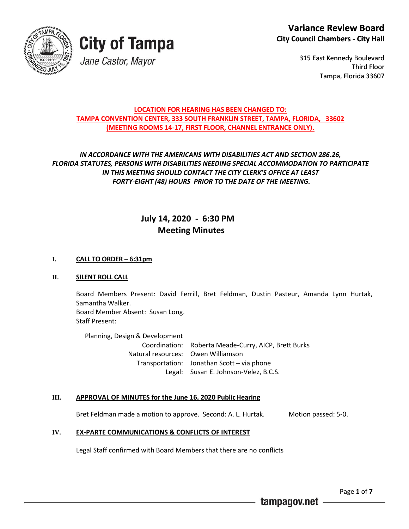



315 East Kennedy Boulevard Third Floor Tampa, Florida 33607

#### **LOCATION FOR HEARING HAS BEEN CHANGED TO: TAMPA CONVENTION CENTER, 333 SOUTH FRANKLIN STREET, TAMPA, FLORIDA, 33602 (MEETING ROOMS 14-17, FIRST FLOOR, CHANNEL ENTRANCE ONLY).**

#### *IN ACCORDANCE WITH THE AMERICANS WITH DISABILITIES ACT AND SECTION 286.26, FLORIDA STATUTES, PERSONS WITH DISABILITIES NEEDING SPECIAL ACCOMMODATION TO PARTICIPATE IN THIS MEETING SHOULD CONTACT THE CITY CLERK'S OFFICE AT LEAST FORTY-EIGHT (48) HOURS PRIOR TO THE DATE OF THE MEETING.*

#### **July 14, 2020 - 6:30 PM Meeting Minutes**

#### **I. CALL TO ORDER – 6:31pm**

#### **II. SILENT ROLL CALL**

Board Members Present: David Ferrill, Bret Feldman, Dustin Pasteur, Amanda Lynn Hurtak, Samantha Walker. Board Member Absent: Susan Long.

Staff Present:

Planning, Design & Development Coordination: Roberta Meade-Curry, AICP, Brett Burks Natural resources: Owen Williamson Transportation: Jonathan Scott – via phone Legal: Susan E. Johnson-Velez, B.C.S.

#### **III. APPROVAL OF MINUTES for the June 16, 2020 PublicHearing**

Bret Feldman made a motion to approve. Second: A. L. Hurtak. Motion passed: 5-0.

#### **IV. EX-PARTE COMMUNICATIONS & CONFLICTS OF INTEREST**

Legal Staff confirmed with Board Members that there are no conflicts

Page **1** of **7**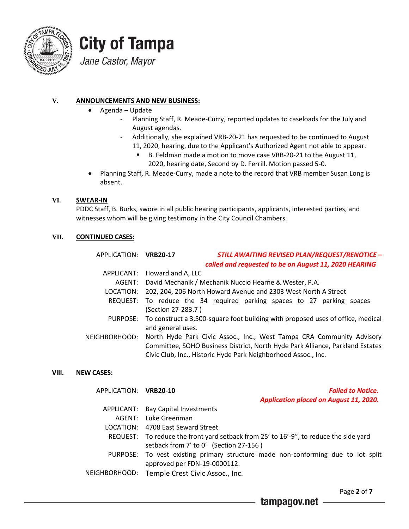

# **City of Tampa**

Jane Castor, Mayor

#### **V. ANNOUNCEMENTS AND NEW BUSINESS:**

- Agenda Update
	- Planning Staff, R. Meade-Curry, reported updates to caseloads for the July and August agendas.
	- Additionally, she explained VRB-20-21 has requested to be continued to August 11, 2020, hearing, due to the Applicant's Authorized Agent not able to appear.
		- B. Feldman made a motion to move case VRB-20-21 to the August 11, 2020, hearing date, Second by D. Ferrill. Motion passed 5-0.
- Planning Staff, R. Meade-Curry, made a note to the record that VRB member Susan Long is absent.

#### **VI. SWEAR-IN**

PDDC Staff, B. Burks, swore in all public hearing participants, applicants, interested parties, and witnesses whom will be giving testimony in the City Council Chambers.

#### **VII. CONTINUED CASES:**

| APPLICATION: VRB20-17 | <b>STILL AWAITING REVISED PLAN/REQUEST/RENOTICE -</b><br>called and requested to be on August 11, 2020 HEARING |
|-----------------------|----------------------------------------------------------------------------------------------------------------|
|                       | APPLICANT: Howard and A, LLC                                                                                   |
| AGENT:                | David Mechanik / Mechanik Nuccio Hearne & Wester, P.A.                                                         |
| LOCATION:             | 202, 204, 206 North Howard Avenue and 2303 West North A Street                                                 |
|                       | REQUEST: To reduce the 34 required parking spaces to 27 parking spaces                                         |
|                       | (Section 27-283.7)                                                                                             |
|                       | PURPOSE: To construct a 3,500-square foot building with proposed uses of office, medical                       |
|                       | and general uses.                                                                                              |
| NEIGHBORHOOD:         | North Hyde Park Civic Assoc., Inc., West Tampa CRA Community Advisory                                          |
|                       | Committee, SOHO Business District, North Hyde Park Alliance, Parkland Estates                                  |
|                       | Civic Club, Inc., Historic Hyde Park Neighborhood Assoc., Inc.                                                 |

#### **VIII. NEW CASES:**

APPLICATION: **VRB20-10** *Failed to Notice. Application placed on August 11, 2020.*

| APPLICANT: Bay Capital Investments                                                    |
|---------------------------------------------------------------------------------------|
| AGENT: Luke Greenman                                                                  |
| LOCATION: 4708 East Seward Street                                                     |
| REQUEST: To reduce the front yard setback from 25' to 16'-9", to reduce the side yard |
| setback from 7' to 0' (Section 27-156)                                                |
| PURPOSE: To vest existing primary structure made non-conforming due to lot split      |
| approved per FDN-19-0000112.                                                          |
| NEIGHBORHOOD: Temple Crest Civic Assoc., Inc.                                         |
|                                                                                       |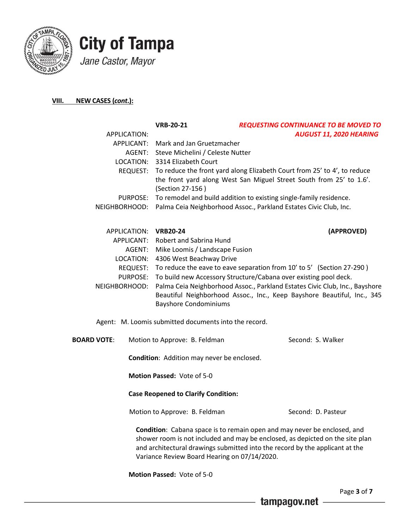



#### **VIII. NEW CASES (***cont***.):**

|                    | APPLICATION: | <b>VRB-20-21</b>                                      | <b>REQUESTING CONTINUANCE TO BE MOVED TO</b><br>AUGUST 11, 2020 HEARING                                                                                                                                                                   |
|--------------------|--------------|-------------------------------------------------------|-------------------------------------------------------------------------------------------------------------------------------------------------------------------------------------------------------------------------------------------|
|                    | APPLICANT:   | Mark and Jan Gruetzmacher                             |                                                                                                                                                                                                                                           |
|                    | AGENT:       | Steve Michelini / Celeste Nutter                      |                                                                                                                                                                                                                                           |
|                    | LOCATION:    | 3314 Elizabeth Court                                  |                                                                                                                                                                                                                                           |
|                    | REQUEST:     | (Section 27-156)                                      | To reduce the front yard along Elizabeth Court from 25' to 4', to reduce<br>the front yard along West San Miguel Street South from 25' to 1.6'.                                                                                           |
|                    | PURPOSE:     |                                                       | To remodel and build addition to existing single-family residence.                                                                                                                                                                        |
| NEIGHBORHOOD:      |              |                                                       | Palma Ceia Neighborhood Assoc., Parkland Estates Civic Club, Inc.                                                                                                                                                                         |
|                    |              | APPLICATION: VRB20-24                                 | (APPROVED)                                                                                                                                                                                                                                |
|                    | APPLICANT:   | Robert and Sabrina Hund                               |                                                                                                                                                                                                                                           |
|                    | AGENT:       | Mike Loomis / Landscape Fusion                        |                                                                                                                                                                                                                                           |
|                    | LOCATION:    | 4306 West Beachway Drive                              |                                                                                                                                                                                                                                           |
|                    | REQUEST:     |                                                       | To reduce the eave to eave separation from 10' to 5' (Section 27-290)                                                                                                                                                                     |
|                    | PURPOSE:     |                                                       | To build new Accessory Structure/Cabana over existing pool deck.                                                                                                                                                                          |
| NEIGHBORHOOD:      |              | <b>Bayshore Condominiums</b>                          | Palma Ceia Neighborhood Assoc., Parkland Estates Civic Club, Inc., Bayshore<br>Beautiful Neighborhood Assoc., Inc., Keep Bayshore Beautiful, Inc., 345                                                                                    |
|                    |              | Agent: M. Loomis submitted documents into the record. |                                                                                                                                                                                                                                           |
| <b>BOARD VOTE:</b> |              | Motion to Approve: B. Feldman                         | Second: S. Walker                                                                                                                                                                                                                         |
|                    |              | Condition: Addition may never be enclosed.            |                                                                                                                                                                                                                                           |
|                    |              | Motion Passed: Vote of 5-0                            |                                                                                                                                                                                                                                           |
|                    |              | <b>Case Reopened to Clarify Condition:</b>            |                                                                                                                                                                                                                                           |
|                    |              | Motion to Approve: B. Feldman                         | Second: D. Pasteur                                                                                                                                                                                                                        |
|                    |              | Variance Review Board Hearing on 07/14/2020.          | Condition: Cabana space is to remain open and may never be enclosed, and<br>shower room is not included and may be enclosed, as depicted on the site plan<br>and architectural drawings submitted into the record by the applicant at the |
|                    |              | Motion Passed: Vote of 5-0                            |                                                                                                                                                                                                                                           |

tampagov.net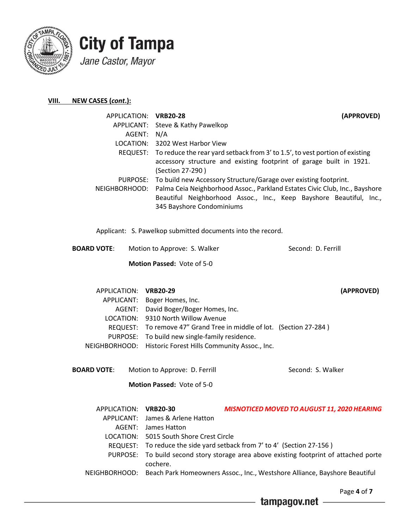

#### **VIII. NEW CASES (***cont***.):**

| APPLICATION: VRB20-28 | (APPROVED)                                                                                                                                                                       |
|-----------------------|----------------------------------------------------------------------------------------------------------------------------------------------------------------------------------|
|                       | APPLICANT: Steve & Kathy Pawelkop                                                                                                                                                |
| AGENT: N/A            |                                                                                                                                                                                  |
|                       | LOCATION: 3202 West Harbor View                                                                                                                                                  |
|                       | REQUEST: To reduce the rear yard setback from 3' to 1.5', to vest portion of existing<br>accessory structure and existing footprint of garage built in 1921.<br>(Section 27-290) |
|                       | PURPOSE: To build new Accessory Structure/Garage over existing footprint.                                                                                                        |
|                       | NEIGHBORHOOD: Palma Ceia Neighborhood Assoc., Parkland Estates Civic Club, Inc., Bayshore                                                                                        |
|                       | Beautiful Neighborhood Assoc., Inc., Keep Bayshore Beautiful, Inc.,<br>345 Bayshore Condominiums                                                                                 |

Applicant: S. Pawelkop submitted documents into the record.

**BOARD VOTE:** Motion to Approve: S. Walker Second: D. Ferrill  **Motion Passed:** Vote of 5-0

| APPLICATION: VRB20-29 |                                                                      | (APPROVED) |
|-----------------------|----------------------------------------------------------------------|------------|
|                       | APPLICANT: Boger Homes, Inc.                                         |            |
|                       | AGENT: David Boger/Boger Homes, Inc.                                 |            |
|                       | LOCATION: 9310 North Willow Avenue                                   |            |
|                       | REQUEST: To remove 47" Grand Tree in middle of lot. (Section 27-284) |            |
|                       | PURPOSE: To build new single-family residence.                       |            |
|                       | NEIGHBORHOOD: Historic Forest Hills Community Assoc., Inc.           |            |
|                       |                                                                      |            |

**BOARD VOTE:** Motion to Approve: D. Ferrill Second: S. Walker  **Motion Passed:** Vote of 5-0

| APPLICATION: VRB20-30 |                                         | <b>MISNOTICED MOVED TO AUGUST 11, 2020 HEARING</b>                                       |
|-----------------------|-----------------------------------------|------------------------------------------------------------------------------------------|
|                       | APPLICANT: James & Arlene Hatton        |                                                                                          |
|                       | AGENT: James Hatton                     |                                                                                          |
|                       | LOCATION: 5015 South Shore Crest Circle |                                                                                          |
|                       |                                         | REQUEST: To reduce the side yard setback from 7' to 4' (Section 27-156)                  |
|                       | cochere.                                | PURPOSE: To build second story storage area above existing footprint of attached porte   |
|                       |                                         | NEIGHBORHOOD: Beach Park Homeowners Assoc., Inc., Westshore Alliance, Bayshore Beautiful |

tampagov.net

Page **4** of **7**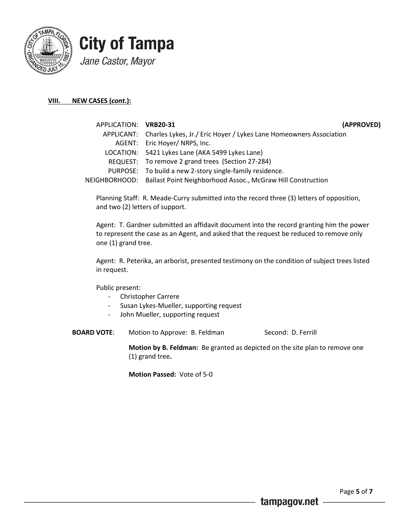

#### **VIII. NEW CASES (***cont***.):**

| APPLICATION: VRB20-31 | (APPROVED)                                                                    |
|-----------------------|-------------------------------------------------------------------------------|
|                       | APPLICANT: Charles Lykes, Jr./ Eric Hoyer / Lykes Lane Homeowners Association |
|                       | AGENT: Eric Hoyer/ NRPS, Inc.                                                 |
|                       | LOCATION: 5421 Lykes Lane (AKA 5499 Lykes Lane)                               |
|                       | REQUEST: To remove 2 grand trees (Section 27-284)                             |
|                       | PURPOSE: To build a new 2-story single-family residence.                      |
|                       | NEIGHBORHOOD: Ballast Point Neighborhood Assoc., McGraw Hill Construction     |
|                       |                                                                               |

Planning Staff: R. Meade-Curry submitted into the record three (3) letters of opposition, and two (2) letters of support.

Agent: T. Gardner submitted an affidavit document into the record granting him the power to represent the case as an Agent, and asked that the request be reduced to remove only one (1) grand tree.

Agent: R. Peterika, an arborist, presented testimony on the condition of subject trees listed in request.

Public present:

- Christopher Carrere
- Susan Lykes-Mueller, supporting request
- John Mueller, supporting request
- **BOARD VOTE:** Motion to Approve: B. Feldman Second: D. Ferrill

**Motion by B. Feldman:** Be granted as depicted on the site plan to remove one (1) grand tree**.**

**Motion Passed:** Vote of 5-0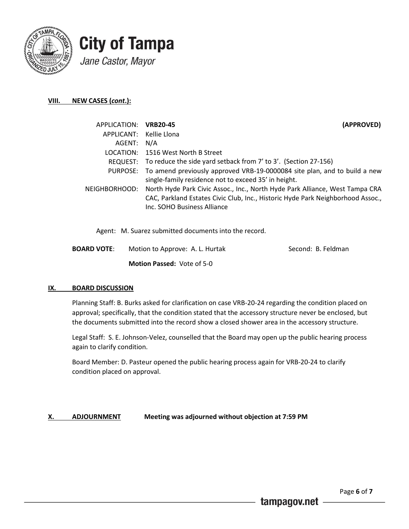

#### **VIII. NEW CASES (***cont***.):**

| APPLICATION: VRB20-45   | (APPROVED)                                                                                                                                                                                     |
|-------------------------|------------------------------------------------------------------------------------------------------------------------------------------------------------------------------------------------|
| APPLICANT: Kellie Llona |                                                                                                                                                                                                |
| AGENT: N/A              |                                                                                                                                                                                                |
|                         | LOCATION: 1516 West North B Street                                                                                                                                                             |
|                         | REQUEST: To reduce the side yard setback from 7' to 3'. (Section 27-156)                                                                                                                       |
|                         | PURPOSE: To amend previously approved VRB-19-0000084 site plan, and to build a new<br>single-family residence not to exceed 35' in height.                                                     |
| NEIGHBORHOOD:           | North Hyde Park Civic Assoc., Inc., North Hyde Park Alliance, West Tampa CRA<br>CAC, Parkland Estates Civic Club, Inc., Historic Hyde Park Neighborhood Assoc.,<br>Inc. SOHO Business Alliance |

Agent: M. Suarez submitted documents into the record.

**BOARD VOTE:** Motion to Approve: A. L. Hurtak Second: B. Feldman  **Motion Passed:** Vote of 5-0

#### **IX. BOARD DISCUSSION**

Planning Staff: B. Burks asked for clarification on case VRB-20-24 regarding the condition placed on approval; specifically, that the condition stated that the accessory structure never be enclosed, but the documents submitted into the record show a closed shower area in the accessory structure.

Legal Staff: S. E. Johnson-Velez, counselled that the Board may open up the public hearing process again to clarify condition.

Board Member: D. Pasteur opened the public hearing process again for VRB-20-24 to clarify condition placed on approval.

#### **X. ADJOURNMENT Meeting was adjourned without objection at 7:59 PM**